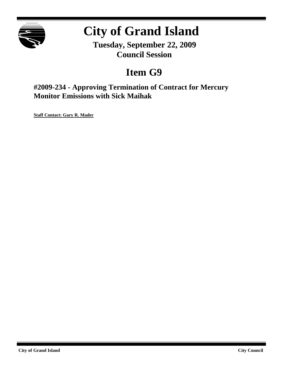

# **City of Grand Island**

**Tuesday, September 22, 2009 Council Session**

## **Item G9**

**#2009-234 - Approving Termination of Contract for Mercury Monitor Emissions with Sick Maihak**

**Staff Contact: Gary R. Mader**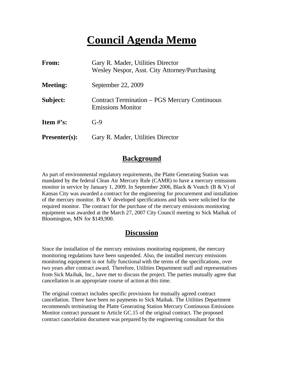### **Council Agenda Memo**

| From:           | Gary R. Mader, Utilities Director<br>Wesley Nespor, Asst. City Attorney/Purchasing |  |  |
|-----------------|------------------------------------------------------------------------------------|--|--|
| <b>Meeting:</b> | September 22, 2009                                                                 |  |  |
| Subject:        | Contract Termination – PGS Mercury Continuous<br><b>Emissions Monitor</b>          |  |  |
| Item $\#$ 's:   | $G-9$                                                                              |  |  |
| $Presenter(s):$ | Gary R. Mader, Utilities Director                                                  |  |  |

#### **Background**

As part of environmental regulatory requirements, the Platte Generating Station was mandated by the federal Clean Air Mercury Rule (CAMR) to have a mercury emissions monitor in service by January 1, 2009. In September 2006, Black & Veatch (B & V) of Kansas City was awarded a contract for the engineering for procurement and installation of the mercury monitor. B & V developed specifications and bids were solicited for the required monitor. The contract for the purchase of the mercury emissions monitoring equipment was awarded at the March 27, 2007 City Council meeting to Sick Maihak of Bloomington, MN for \$149,900.

#### **Discussion**

Since the installation of the mercury emissions monitoring equipment, the mercury monitoring regulations have been suspended. Also, the installed mercury emissions monitoring equipment is not fully functional with the terms of the specifications, over two years after contract award. Therefore, Utilities Department staff and representatives from Sick Maihak, Inc., have met to discuss the project. The parties mutually agree that cancellation is an appropriate course of action at this time.

The original contract includes specific provisions for mutually agreed contract cancellation. There have been no payments to Sick Maihak. The Utilities Department recommends terminating the Platte Generating Station Mercury Continuous Emissions Monitor contract pursuant to Article GC.15 of the original contract. The proposed contract cancelation document was prepared by the engineering consultant for this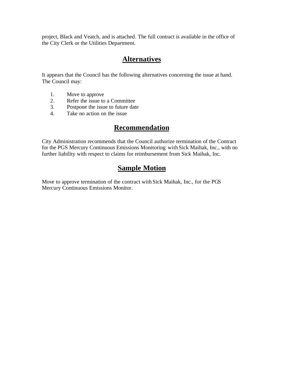project, Black and Veatch, and is attached. The full contract is available in the office of the City Clerk or the Utilities Department.

#### **Alternatives**

It appears that the Council has the following alternatives concerning the issue at hand. The Council may:

- 1. Move to approve
- 2. Refer the issue to a Committee
- 3. Postpone the issue to future date
- 4. Take no action on the issue

#### **Recommendation**

City Administration recommends that the Council authorize termination of the Contract for the PGS Mercury Continuous Emissions Monitoring with Sick Maihak, Inc., with no further liability with respect to claims for reimbursement from Sick Maihak, Inc.

### **Sample Motion**

Move to approve termination of the contract with Sick Maihak, Inc., for the PGS Mercury Continuous Emissions Monitor.